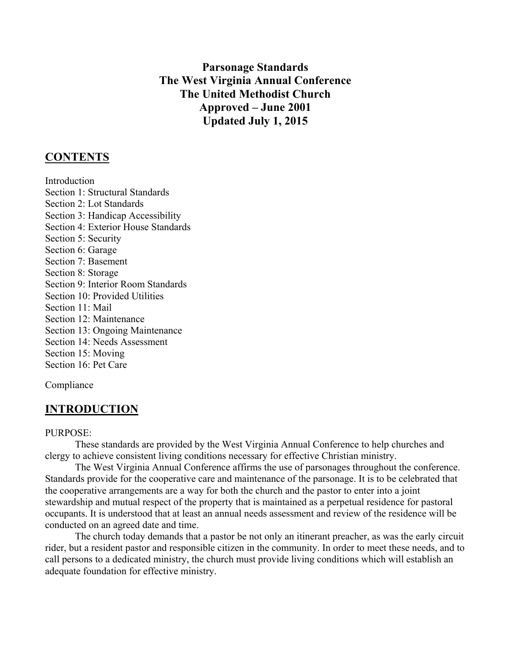## **Parsonage Standards The West Virginia Annual Conference The United Methodist Church Approved – June 2001 Updated July 1, 2015**

### **CONTENTS**

Introduction Section 1: Structural Standards Section 2: Lot Standards Section 3: Handicap Accessibility Section 4: Exterior House Standards Section 5: Security Section 6: Garage Section 7: Basement Section 8: Storage Section 9: Interior Room Standards Section 10: Provided Utilities Section 11: Mail Section 12: Maintenance Section 13: Ongoing Maintenance Section 14: Needs Assessment Section 15: Moving Section 16: Pet Care

Compliance

## **INTRODUCTION**

#### PURPOSE:

These standards are provided by the West Virginia Annual Conference to help churches and clergy to achieve consistent living conditions necessary for effective Christian ministry.

The West Virginia Annual Conference affirms the use of parsonages throughout the conference. Standards provide for the cooperative care and maintenance of the parsonage. It is to be celebrated that the cooperative arrangements are a way for both the church and the pastor to enter into a joint stewardship and mutual respect of the property that is maintained as a perpetual residence for pastoral occupants. It is understood that at least an annual needs assessment and review of the residence will be conducted on an agreed date and time.

The church today demands that a pastor be not only an itinerant preacher, as was the early circuit rider, but a resident pastor and responsible citizen in the community. In order to meet these needs, and to call persons to a dedicated ministry, the church must provide living conditions which will establish an adequate foundation for effective ministry.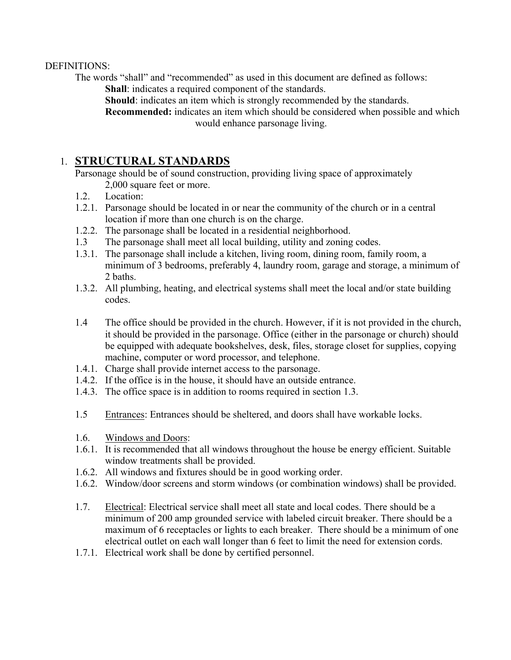#### DEFINITIONS:

The words "shall" and "recommended" as used in this document are defined as follows: **Shall**: indicates a required component of the standards.

**Should**: indicates an item which is strongly recommended by the standards.

**Recommended:** indicates an item which should be considered when possible and which would enhance parsonage living.

## 1. **STRUCTURAL STANDARDS**

 Parsonage should be of sound construction, providing living space of approximately 2,000 square feet or more.

- 1.2. Location:
- 1.2.1. Parsonage should be located in or near the community of the church or in a central location if more than one church is on the charge.
- 1.2.2. The parsonage shall be located in a residential neighborhood.
- 1.3 The parsonage shall meet all local building, utility and zoning codes.
- 1.3.1. The parsonage shall include a kitchen, living room, dining room, family room, a minimum of 3 bedrooms, preferably 4, laundry room, garage and storage, a minimum of 2 baths.
- 1.3.2. All plumbing, heating, and electrical systems shall meet the local and/or state building codes.
- 1.4 The office should be provided in the church. However, if it is not provided in the church, it should be provided in the parsonage. Office (either in the parsonage or church) should be equipped with adequate bookshelves, desk, files, storage closet for supplies, copying machine, computer or word processor, and telephone.
- 1.4.1. Charge shall provide internet access to the parsonage.
- 1.4.2. If the office is in the house, it should have an outside entrance.
- 1.4.3. The office space is in addition to rooms required in section 1.3.
- 1.5 Entrances: Entrances should be sheltered, and doors shall have workable locks.
- 1.6. Windows and Doors:
- 1.6.1. It is recommended that all windows throughout the house be energy efficient. Suitable window treatments shall be provided.
- 1.6.2. All windows and fixtures should be in good working order.
- 1.6.2. Window/door screens and storm windows (or combination windows) shall be provided.
- 1.7. Electrical: Electrical service shall meet all state and local codes. There should be a minimum of 200 amp grounded service with labeled circuit breaker. There should be a maximum of 6 receptacles or lights to each breaker. There should be a minimum of one electrical outlet on each wall longer than 6 feet to limit the need for extension cords.
- 1.7.1. Electrical work shall be done by certified personnel.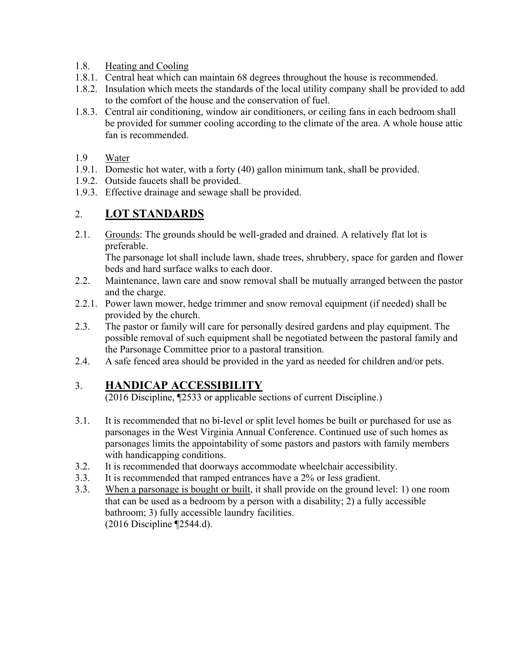#### 1.8. Heating and Cooling

- 1.8.1. Central heat which can maintain 68 degrees throughout the house is recommended.
- 1.8.2. Insulation which meets the standards of the local utility company shall be provided to add to the comfort of the house and the conservation of fuel.
- 1.8.3. Central air conditioning, window air conditioners, or ceiling fans in each bedroom shall be provided for summer cooling according to the climate of the area. A whole house attic fan is recommended.
- 1.9 Water
- 1.9.1. Domestic hot water, with a forty (40) gallon minimum tank, shall be provided.
- 1.9.2. Outside faucets shall be provided.
- 1.9.3. Effective drainage and sewage shall be provided.

## 2. **LOT STANDARDS**

2.1. Grounds: The grounds should be well-graded and drained. A relatively flat lot is preferable.

The parsonage lot shall include lawn, shade trees, shrubbery, space for garden and flower beds and hard surface walks to each door.

- 2.2. Maintenance, lawn care and snow removal shall be mutually arranged between the pastor and the charge.
- 2.2.1. Power lawn mower, hedge trimmer and snow removal equipment (if needed) shall be provided by the church.
- 2.3. The pastor or family will care for personally desired gardens and play equipment. The possible removal of such equipment shall be negotiated between the pastoral family and the Parsonage Committee prior to a pastoral transition.
- 2.4. A safe fenced area should be provided in the yard as needed for children and/or pets.

## 3. **HANDICAP ACCESSIBILITY**

(2016 Discipline, ¶2533 or applicable sections of current Discipline.)

- 3.1. It is recommended that no bi-level or split level homes be built or purchased for use as parsonages in the West Virginia Annual Conference. Continued use of such homes as parsonages limits the appointability of some pastors and pastors with family members with handicapping conditions.
- 3.2. It is recommended that doorways accommodate wheelchair accessibility.
- 3.3. It is recommended that ramped entrances have a 2% or less gradient.
- 3.3. When a parsonage is bought or built, it shall provide on the ground level: 1) one room that can be used as a bedroom by a person with a disability; 2) a fully accessible bathroom; 3) fully accessible laundry facilities. (2016 Discipline ¶2544.d).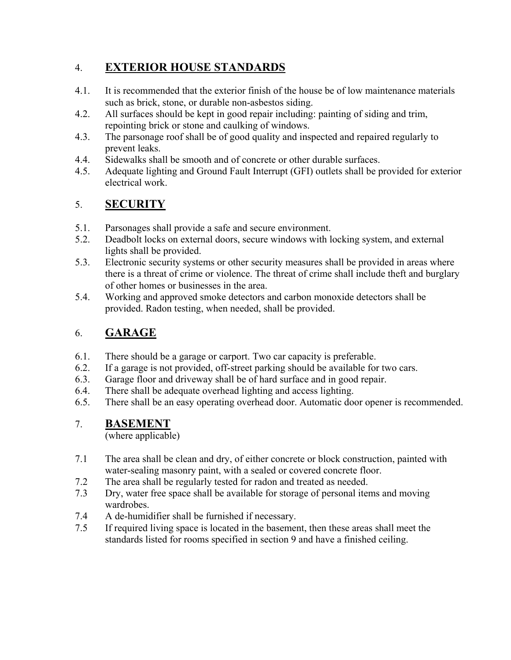# 4. **EXTERIOR HOUSE STANDARDS**

- 4.1. It is recommended that the exterior finish of the house be of low maintenance materials such as brick, stone, or durable non-asbestos siding.
- 4.2. All surfaces should be kept in good repair including: painting of siding and trim, repointing brick or stone and caulking of windows.
- 4.3. The parsonage roof shall be of good quality and inspected and repaired regularly to prevent leaks.
- 4.4. Sidewalks shall be smooth and of concrete or other durable surfaces.
- 4.5. Adequate lighting and Ground Fault Interrupt (GFI) outlets shall be provided for exterior electrical work.

# 5. **SECURITY**

- 5.1. Parsonages shall provide a safe and secure environment.
- 5.2. Deadbolt locks on external doors, secure windows with locking system, and external lights shall be provided.
- 5.3. Electronic security systems or other security measures shall be provided in areas where there is a threat of crime or violence. The threat of crime shall include theft and burglary of other homes or businesses in the area.
- 5.4. Working and approved smoke detectors and carbon monoxide detectors shall be provided. Radon testing, when needed, shall be provided.

# 6. **GARAGE**

- 6.1. There should be a garage or carport. Two car capacity is preferable.
- 6.2. If a garage is not provided, off-street parking should be available for two cars.
- 6.3. Garage floor and driveway shall be of hard surface and in good repair.
- 6.4. There shall be adequate overhead lighting and access lighting.
- 6.5. There shall be an easy operating overhead door. Automatic door opener is recommended.

# 7. **BASEMENT**

(where applicable)

- 7.1 The area shall be clean and dry, of either concrete or block construction, painted with water-sealing masonry paint, with a sealed or covered concrete floor.
- 7.2 The area shall be regularly tested for radon and treated as needed.
- 7.3 Dry, water free space shall be available for storage of personal items and moving wardrobes.
- 7.4 A de-humidifier shall be furnished if necessary.
- 7.5 If required living space is located in the basement, then these areas shall meet the standards listed for rooms specified in section 9 and have a finished ceiling.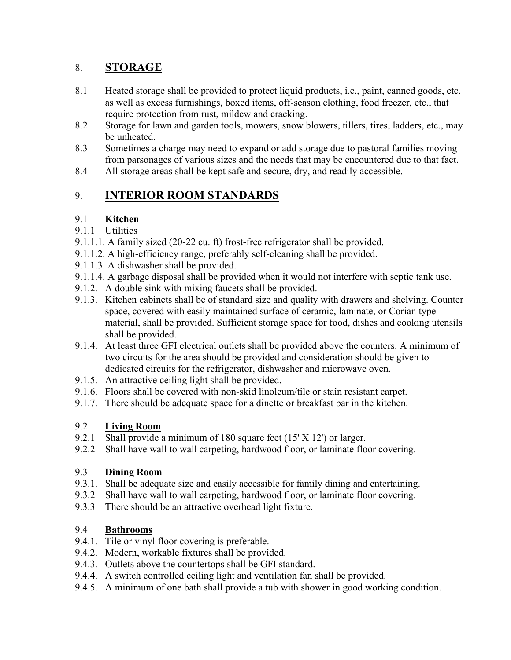# 8. **STORAGE**

- 8.1 Heated storage shall be provided to protect liquid products, i.e., paint, canned goods, etc. as well as excess furnishings, boxed items, off-season clothing, food freezer, etc., that require protection from rust, mildew and cracking.
- 8.2 Storage for lawn and garden tools, mowers, snow blowers, tillers, tires, ladders, etc., may be unheated.
- 8.3 Sometimes a charge may need to expand or add storage due to pastoral families moving from parsonages of various sizes and the needs that may be encountered due to that fact.
- 8.4 All storage areas shall be kept safe and secure, dry, and readily accessible.

# 9. **INTERIOR ROOM STANDARDS**

## 9.1 **Kitchen**

### 9.1.1 Utilities

- 9.1.1.1. A family sized (20-22 cu. ft) frost-free refrigerator shall be provided.
- 9.1.1.2. A high-efficiency range, preferably self-cleaning shall be provided.
- 9.1.1.3. A dishwasher shall be provided.
- 9.1.1.4. A garbage disposal shall be provided when it would not interfere with septic tank use.
- 9.1.2. A double sink with mixing faucets shall be provided.
- 9.1.3. Kitchen cabinets shall be of standard size and quality with drawers and shelving. Counter space, covered with easily maintained surface of ceramic, laminate, or Corian type material, shall be provided. Sufficient storage space for food, dishes and cooking utensils shall be provided.
- 9.1.4. At least three GFI electrical outlets shall be provided above the counters. A minimum of two circuits for the area should be provided and consideration should be given to dedicated circuits for the refrigerator, dishwasher and microwave oven.
- 9.1.5. An attractive ceiling light shall be provided.
- 9.1.6. Floors shall be covered with non-skid linoleum/tile or stain resistant carpet.
- 9.1.7. There should be adequate space for a dinette or breakfast bar in the kitchen.

## 9.2 **Living Room**

- 9.2.1 Shall provide a minimum of 180 square feet (15' X 12') or larger.
- 9.2.2 Shall have wall to wall carpeting, hardwood floor, or laminate floor covering.

## 9.3 **Dining Room**

- 9.3.1. Shall be adequate size and easily accessible for family dining and entertaining.
- 9.3.2 Shall have wall to wall carpeting, hardwood floor, or laminate floor covering.
- 9.3.3 There should be an attractive overhead light fixture.

## 9.4 **Bathrooms**

- 9.4.1. Tile or vinyl floor covering is preferable.
- 9.4.2. Modern, workable fixtures shall be provided.
- 9.4.3. Outlets above the countertops shall be GFI standard.
- 9.4.4. A switch controlled ceiling light and ventilation fan shall be provided.
- 9.4.5. A minimum of one bath shall provide a tub with shower in good working condition.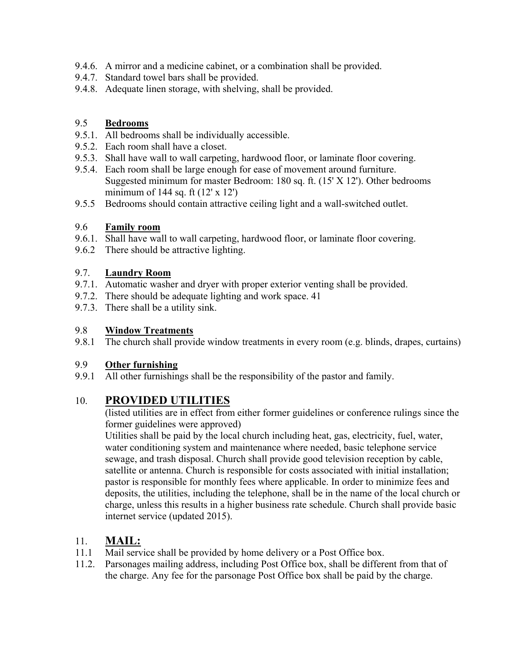- 9.4.6. A mirror and a medicine cabinet, or a combination shall be provided.
- 9.4.7. Standard towel bars shall be provided.
- 9.4.8. Adequate linen storage, with shelving, shall be provided.

### 9.5 **Bedrooms**

- 9.5.1. All bedrooms shall be individually accessible.
- 9.5.2. Each room shall have a closet.
- 9.5.3. Shall have wall to wall carpeting, hardwood floor, or laminate floor covering.
- 9.5.4. Each room shall be large enough for ease of movement around furniture. Suggested minimum for master Bedroom: 180 sq. ft. (15' X 12'). Other bedrooms minimum of 144 sq. ft  $(12' \times 12')$
- 9.5.5 Bedrooms should contain attractive ceiling light and a wall-switched outlet.

#### 9.6 **Family room**

- 9.6.1. Shall have wall to wall carpeting, hardwood floor, or laminate floor covering.
- 9.6.2 There should be attractive lighting.

### 9.7. **Laundry Room**

- 9.7.1. Automatic washer and dryer with proper exterior venting shall be provided.
- 9.7.2. There should be adequate lighting and work space. 41
- 9.7.3. There shall be a utility sink.

#### 9.8 **Window Treatments**

9.8.1 The church shall provide window treatments in every room (e.g. blinds, drapes, curtains)

### 9.9 **Other furnishing**

9.9.1 All other furnishings shall be the responsibility of the pastor and family.

## 10. **PROVIDED UTILITIES**

(listed utilities are in effect from either former guidelines or conference rulings since the former guidelines were approved)

Utilities shall be paid by the local church including heat, gas, electricity, fuel, water, water conditioning system and maintenance where needed, basic telephone service sewage, and trash disposal. Church shall provide good television reception by cable, satellite or antenna. Church is responsible for costs associated with initial installation; pastor is responsible for monthly fees where applicable. In order to minimize fees and deposits, the utilities, including the telephone, shall be in the name of the local church or charge, unless this results in a higher business rate schedule. Church shall provide basic internet service (updated 2015).

## 11. **MAIL:**

- 11.1 Mail service shall be provided by home delivery or a Post Office box.
- 11.2. Parsonages mailing address, including Post Office box, shall be different from that of the charge. Any fee for the parsonage Post Office box shall be paid by the charge.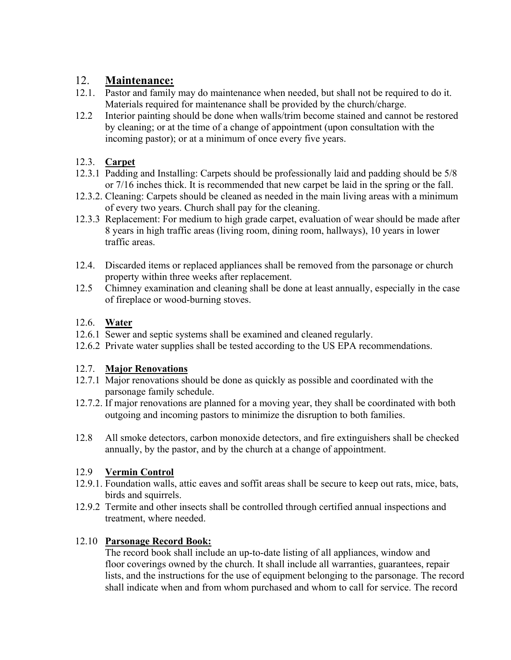## 12. **Maintenance:**

- 12.1. Pastor and family may do maintenance when needed, but shall not be required to do it. Materials required for maintenance shall be provided by the church/charge.
- 12.2 Interior painting should be done when walls/trim become stained and cannot be restored by cleaning; or at the time of a change of appointment (upon consultation with the incoming pastor); or at a minimum of once every five years.

### 12.3. **Carpet**

- 12.3.1 Padding and Installing: Carpets should be professionally laid and padding should be 5/8 or 7/16 inches thick. It is recommended that new carpet be laid in the spring or the fall.
- 12.3.2. Cleaning: Carpets should be cleaned as needed in the main living areas with a minimum of every two years. Church shall pay for the cleaning.
- 12.3.3 Replacement: For medium to high grade carpet, evaluation of wear should be made after 8 years in high traffic areas (living room, dining room, hallways), 10 years in lower traffic areas.
- 12.4. Discarded items or replaced appliances shall be removed from the parsonage or church property within three weeks after replacement.
- 12.5 Chimney examination and cleaning shall be done at least annually, especially in the case of fireplace or wood-burning stoves.

### 12.6. **Water**

- 12.6.1 Sewer and septic systems shall be examined and cleaned regularly.
- 12.6.2 Private water supplies shall be tested according to the US EPA recommendations.

## 12.7. **Major Renovations**

- 12.7.1 Major renovations should be done as quickly as possible and coordinated with the parsonage family schedule.
- 12.7.2. If major renovations are planned for a moving year, they shall be coordinated with both outgoing and incoming pastors to minimize the disruption to both families.
- 12.8 All smoke detectors, carbon monoxide detectors, and fire extinguishers shall be checked annually, by the pastor, and by the church at a change of appointment.

## 12.9 **Vermin Control**

- 12.9.1. Foundation walls, attic eaves and soffit areas shall be secure to keep out rats, mice, bats, birds and squirrels.
- 12.9.2 Termite and other insects shall be controlled through certified annual inspections and treatment, where needed.

## 12.10 **Parsonage Record Book:**

The record book shall include an up-to-date listing of all appliances, window and floor coverings owned by the church. It shall include all warranties, guarantees, repair lists, and the instructions for the use of equipment belonging to the parsonage. The record shall indicate when and from whom purchased and whom to call for service. The record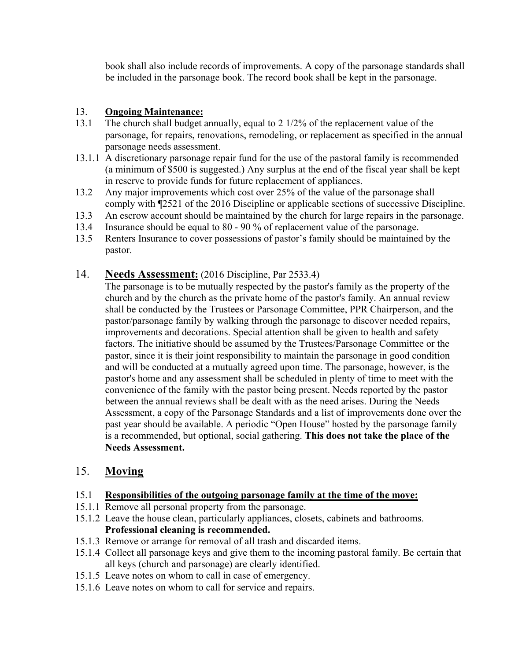book shall also include records of improvements. A copy of the parsonage standards shall be included in the parsonage book. The record book shall be kept in the parsonage.

#### 13. **Ongoing Maintenance:**

- 13.1 The church shall budget annually, equal to 2 1/2% of the replacement value of the parsonage, for repairs, renovations, remodeling, or replacement as specified in the annual parsonage needs assessment.
- 13.1.1 A discretionary parsonage repair fund for the use of the pastoral family is recommended (a minimum of \$500 is suggested.) Any surplus at the end of the fiscal year shall be kept in reserve to provide funds for future replacement of appliances.
- 13.2 Any major improvements which cost over 25% of the value of the parsonage shall comply with ¶2521 of the 2016 Discipline or applicable sections of successive Discipline.
- 13.3 An escrow account should be maintained by the church for large repairs in the parsonage.
- 13.4 Insurance should be equal to 80 90 % of replacement value of the parsonage.
- 13.5 Renters Insurance to cover possessions of pastor's family should be maintained by the pastor.

### 14. **Needs Assessment:** (2016 Discipline, Par 2533.4)

The parsonage is to be mutually respected by the pastor's family as the property of the church and by the church as the private home of the pastor's family. An annual review shall be conducted by the Trustees or Parsonage Committee, PPR Chairperson, and the pastor/parsonage family by walking through the parsonage to discover needed repairs, improvements and decorations. Special attention shall be given to health and safety factors. The initiative should be assumed by the Trustees/Parsonage Committee or the pastor, since it is their joint responsibility to maintain the parsonage in good condition and will be conducted at a mutually agreed upon time. The parsonage, however, is the pastor's home and any assessment shall be scheduled in plenty of time to meet with the convenience of the family with the pastor being present. Needs reported by the pastor between the annual reviews shall be dealt with as the need arises. During the Needs Assessment, a copy of the Parsonage Standards and a list of improvements done over the past year should be available. A periodic "Open House" hosted by the parsonage family is a recommended, but optional, social gathering. **This does not take the place of the Needs Assessment.** 

## 15. **Moving**

- 15.1 **Responsibilities of the outgoing parsonage family at the time of the move:**
- 15.1.1 Remove all personal property from the parsonage.
- 15.1.2 Leave the house clean, particularly appliances, closets, cabinets and bathrooms. **Professional cleaning is recommended.**
- 15.1.3 Remove or arrange for removal of all trash and discarded items.
- 15.1.4 Collect all parsonage keys and give them to the incoming pastoral family. Be certain that all keys (church and parsonage) are clearly identified.
- 15.1.5 Leave notes on whom to call in case of emergency.
- 15.1.6 Leave notes on whom to call for service and repairs.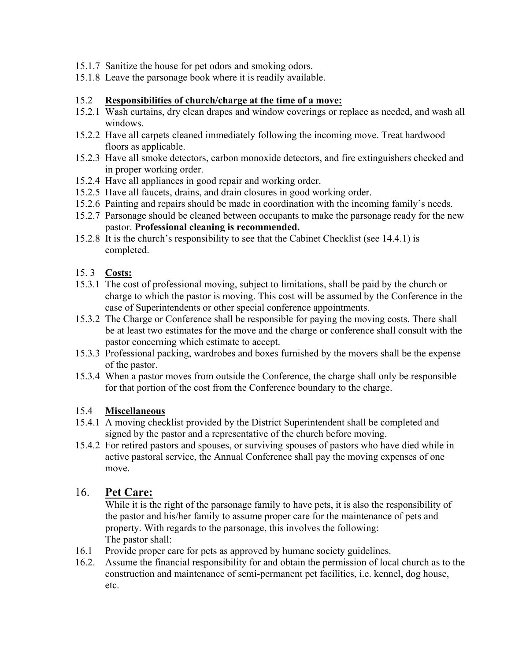- 15.1.7 Sanitize the house for pet odors and smoking odors.
- 15.1.8 Leave the parsonage book where it is readily available.

#### 15.2 **Responsibilities of church/charge at the time of a move:**

- 15.2.1 Wash curtains, dry clean drapes and window coverings or replace as needed, and wash all windows.
- 15.2.2 Have all carpets cleaned immediately following the incoming move. Treat hardwood floors as applicable.
- 15.2.3 Have all smoke detectors, carbon monoxide detectors, and fire extinguishers checked and in proper working order.
- 15.2.4 Have all appliances in good repair and working order.
- 15.2.5 Have all faucets, drains, and drain closures in good working order.
- 15.2.6 Painting and repairs should be made in coordination with the incoming family's needs.
- 15.2.7 Parsonage should be cleaned between occupants to make the parsonage ready for the new pastor. **Professional cleaning is recommended.**
- 15.2.8 It is the church's responsibility to see that the Cabinet Checklist (see 14.4.1) is completed.

#### 15. 3 **Costs:**

- 15.3.1 The cost of professional moving, subject to limitations, shall be paid by the church or charge to which the pastor is moving. This cost will be assumed by the Conference in the case of Superintendents or other special conference appointments.
- 15.3.2 The Charge or Conference shall be responsible for paying the moving costs. There shall be at least two estimates for the move and the charge or conference shall consult with the pastor concerning which estimate to accept.
- 15.3.3 Professional packing, wardrobes and boxes furnished by the movers shall be the expense of the pastor.
- 15.3.4 When a pastor moves from outside the Conference, the charge shall only be responsible for that portion of the cost from the Conference boundary to the charge.

#### 15.4 **Miscellaneous**

- 15.4.1 A moving checklist provided by the District Superintendent shall be completed and signed by the pastor and a representative of the church before moving.
- 15.4.2 For retired pastors and spouses, or surviving spouses of pastors who have died while in active pastoral service, the Annual Conference shall pay the moving expenses of one move.

### 16. **Pet Care:**

While it is the right of the parsonage family to have pets, it is also the responsibility of the pastor and his/her family to assume proper care for the maintenance of pets and property. With regards to the parsonage, this involves the following: The pastor shall:

- 16.1 Provide proper care for pets as approved by humane society guidelines.
- 16.2. Assume the financial responsibility for and obtain the permission of local church as to the construction and maintenance of semi-permanent pet facilities, i.e. kennel, dog house, etc.